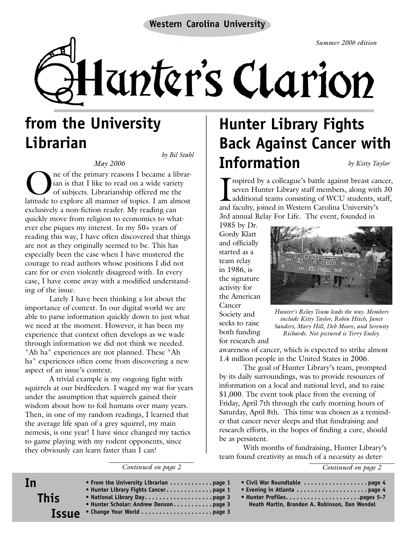*Summer 2006 edition*

Hanter's Clarion

# **from the University Librarian**

*by Bil Stahl*

*May 2006* One of the primary reasons I became a librar-<br>ian is that I like to read on a wide variety<br>of subjects. Librarianship offered me the<br>latitude to explore all manner of tonics. Lam almost ian is that I like to read on a wide variety of subjects. Librarianship offered me the latitude to explore all manner of topics. I am almost exclusively a non-fiction reader. My reading can quickly move from religion to economics to whatever else piques my interest. In my 50+ years of reading this way, I have often discovered that things are not as they originally seemed to be. This has especially been the case when I have mustered the courage to read authors whose positions I did not care for or even violently disagreed with. In every case, I have come away with a modified understanding of the issue.

Lately I have been thinking a lot about the importance of context. In our digital world we are able to parse information quickly down to just what we need at the moment. However, it has been my experience that context often develops as we wade through information we did not think we needed. "Ah ha" experiences are not planned. These "Ah ha" experiences often come from discovering a new aspect of an issue's context.

A trivial example is my ongoing fight with squirrels at our birdfeeders. I waged my war for years under the assumption that squirrels gained their wisdom about how to foil humans over many years. Then, in one of my random readings, I learned that the average life span of a grey squirrel, my main nemesis, is one year! I have since changed my tactics to game playing with my rodent opponents, since they obviously can learn faster than I can!

*Continued on page 2*

### **Hunter Library Fights Back Against Cancer with Information** *by Kitty Taylor*

Inspired by a colleague's battle against breast car<br>seven Hunter Library staff members, along with<br>additional teams consisting of WCU students, s<br>and faculty, joined in Western Carolina University's nspired by a colleague's battle against breast cancer, seven Hunter Library staff members, along with 30 additional teams consisting of WCU students, staff, 3rd annual Relay For Life. The event, founded in

1985 by Dr. Gordy Klatt and officially started as a team relay in 1986, is the signature activity for the American Cancer Society and seeks to raise both funding

for research and



*Hunter's Relay Team leads the way. Members include Kitty Taylor, Robin Hitch, Janet Sanders, Mary Hill, Deb Moore, and Serenity Richards. Not pictured is Terry Ensley.*

awareness of cancer, which is expected to strike almost 1.4 million people in the United States in 2006.

The goal of Hunter Library's team, prompted by its daily surroundings, was to provide resources of information on a local and national level, and to raise \$1,000. The event took place from the evening of Friday, April 7th through the early morning hours of Saturday, April 8th. This time was chosen as a reminder that cancer never sleeps and that fundraising and research efforts, in the hopes of finding a cure, should be as persistent.

With months of fundraising, Hunter Library's team found creativity as much of a necessity as deter-

*Continued on page 2*

| In<br><b>This</b><br><b>Issue</b> | • From the University Librarian $\ldots \ldots \ldots$ page 1<br>• Hunter Library Fights Cancerpage 1<br>• Hunter Scholar: Andrew Densonpage 3 | Heath Martin, Brandon A. Robinson, Dan Wendel |
|-----------------------------------|------------------------------------------------------------------------------------------------------------------------------------------------|-----------------------------------------------|
|-----------------------------------|------------------------------------------------------------------------------------------------------------------------------------------------|-----------------------------------------------|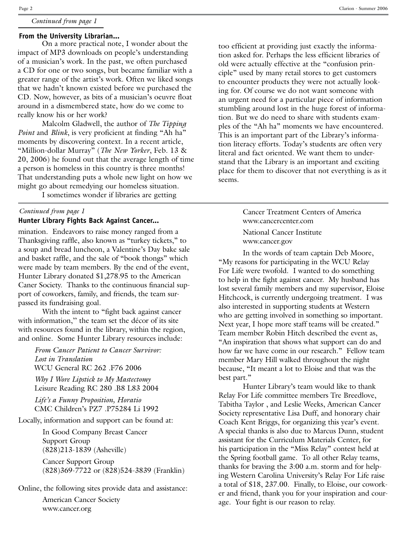#### *Continued from page 1*

### **From the University Librarian...**

On a more practical note, I wonder about the impact of MP3 downloads on people's understanding of a musician's work. In the past, we often purchased a CD for one or two songs, but became familiar with a greater range of the artist's work. Often we liked songs that we hadn't known existed before we purchased the CD. Now, however, as bits of a musician's oeuvre float around in a dismembered state, how do we come to really know his or her work?

Malcolm Gladwell, the author of *The Tipping Point* and *Blink*, is very proficient at finding "Ah ha" moments by discovering context. In a recent article, "Million-dollar Murray" (*The New Yorker*, Feb. 13 & 20, 2006) he found out that the average length of time a person is homeless in this country is three months! That understanding puts a whole new light on how we might go about remedying our homeless situation.

I sometimes wonder if libraries are getting

#### *Continued from page 1* **Hunter Library Fights Back Against Cancer...**

mination. Endeavors to raise money ranged from a Thanksgiving raffle, also known as "turkey tickets," to a soup and bread luncheon, a Valentine's Day bake sale and basket raffle, and the sale of "book thongs" which were made by team members. By the end of the event, Hunter Library donated \$1,278.95 to the American Caner Society. Thanks to the continuous financial support of coworkers, family, and friends, the team surpassed its fundraising goal.

With the intent to "fight back against cancer with information," the team set the décor of its site with resources found in the library, within the region, and online. Some Hunter Library resources include:

*From Cancer Patient to Cancer Survivor: Lost in Translation* WCU General RC 262 .F76 2006

*Why I Wore Lipstick to My Mastectomy* Leisure Reading RC 280 .B8 L83 2004

*Life's a Funny Proposition, Horatio* CMC Children's PZ7 .P75284 Li 1992

Locally, information and support can be found at:

In Good Company Breast Cancer Support Group (828)213-1839 (Asheville)

Cancer Support Group (828)369-7722 or (828)524-3839 (Franklin)

Online, the following sites provide data and assistance:

American Cancer Society www.cancer.org

too efficient at providing just exactly the information asked for. Perhaps the less efficient libraries of old were actually effective at the "confusion principle" used by many retail stores to get customers to encounter products they were not actually looking for. Of course we do not want someone with an urgent need for a particular piece of information stumbling around lost in the huge forest of information. But we do need to share with students examples of the "Ah ha" moments we have encountered. This is an important part of the Library's information literacy efforts. Today's students are often very literal and fact oriented. We want them to understand that the Library is an important and exciting place for them to discover that not everything is as it seems.

> Cancer Treatment Centers of America www.cancercenter.com National Cancer Institute www.cancer.gov

In the words of team captain Deb Moore, "My reasons for participating in the WCU Relay For Life were twofold. I wanted to do something to help in the fight against cancer. My husband has lost several family members and my supervisor, Eloise Hitchcock, is currently undergoing treatment. I was also interested in supporting students at Western who are getting involved in something so important. Next year, I hope more staff teams will be created." Team member Robin Hitch described the event as, "An inspiration that shows what support can do and how far we have come in our research." Fellow team member Mary Hill walked throughout the night because, "It meant a lot to Eloise and that was the best part."

Hunter Library's team would like to thank Relay For Life committee members Tre Breedlove, Tabitha Taylor , and Leslie Weeks, American Cancer Society representative Lisa Duff, and honorary chair Coach Kent Briggs, for organizing this year's event. A special thanks is also due to Marcus Dunn, student assistant for the Curriculum Materials Center, for his participation in the "Miss Relay" contest held at the Spring football game. To all other Relay teams, thanks for braving the 3:00 a.m. storm and for helping Western Carolina University's Relay For Life raise a total of \$18, 237.00. Finally, to Eloise, our coworker and friend, thank you for your inspiration and courage. Your fight is our reason to relay.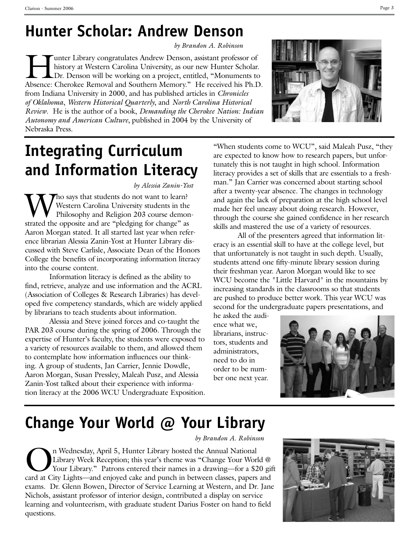## **Hunter Scholar: Andrew Denson**

*by Brandon A. Robinson*

Funter Library congratulates Andrew Denson, assistant professor of history at Western Carolina University, as our new Hunter Scholar.<br>Dr. Denson will be working on a project, entitled, "Monuments to history at Western Carolina University, as our new Hunter Scholar. Dr. Denson will be working on a project, entitled, "Monuments to Absence: Cherokee Removal and Southern Memory." He received his Ph.D. from Indiana University in 2000, and has published articles in *Chronicles of Oklahoma*, *Western Historical Quarterly*, and *North Carolina Historical Review*. He is the author of a book, *Demanding the Cherokee Nation: Indian Autonomy and American Culture*, published in 2004 by the University of Nebraska Press.



# **Integrating Curriculum and Information Literacy**

*by Alessia Zanin-Yost*

Tho says that students do not want to learn? Western Carolina University students in the Philosophy and Religion 203 course demonstrated the opposite and are "pledging for change" as Aaron Morgan stated. It all started last year when reference librarian Alessia Zanin-Yost at Hunter Library discussed with Steve Carlisle, Associate Dean of the Honors College the benefits of incorporating information literacy into the course content.

Information literacy is defined as the ability to find, retrieve, analyze and use information and the ACRL (Association of Colleges & Research Libraries) has developed five competency standards, which are widely applied by librarians to teach students about information.

Alessia and Steve joined forces and co-taught the PAR 203 course during the spring of 2006. Through the expertise of Hunter's faculty, the students were exposed to a variety of resources available to them, and allowed them to contemplate how information influences our thinking. A group of students, Jan Carrier, Jennie Dowdle, Aaron Morgan, Susan Pressley, Maleah Pusz, and Alessia Zanin-Yost talked about their experience with information literacy at the 2006 WCU Undergraduate Exposition.

"When students come to WCU", said Maleah Pusz, "they are expected to know how to research papers, but unfortunately this is not taught in high school. Information literacy provides a set of skills that are essentials to a freshman." Jan Carrier was concerned about starting school after a twenty-year absence. The changes in technology and again the lack of preparation at the high school level made her feel uneasy about doing research. However, through the course she gained confidence in her research skills and mastered the use of a variety of resources.

All of the presenters agreed that information literacy is an essential skill to have at the college level, but that unfortunately is not taught in such depth. Usually, students attend one fifty-minute library session during their freshman year. Aaron Morgan would like to see WCU become the "Little Harvard" in the mountains by increasing standards in the classrooms so that students are pushed to produce better work. This year WCU was second for the undergraduate papers presentations, and

he asked the audience what we, librarians, instructors, students and administrators, need to do in order to be number one next year.



# **Change Your World @ Your Library**

*by Brandon A. Robinson*

On Wednesday, April 5, Hunter Library hosted the Annual National<br>Library Week Reception; this year's theme was "Change Your Worl<br>Your Library." Patrons entered their names in a drawing—for a \$2<br>card at City Lights—and enjo Library Week Reception; this year's theme was "Change Your World @ Your Library." Patrons entered their names in a drawing—for a \$20 gift card at City Lights—and enjoyed cake and punch in between classes, papers and exams. Dr. Glenn Bowen, Director of Service Learning at Western, and Dr. Jane Nichols, assistant professor of interior design, contributed a display on service learning and volunteerism, with graduate student Darius Foster on hand to field questions.

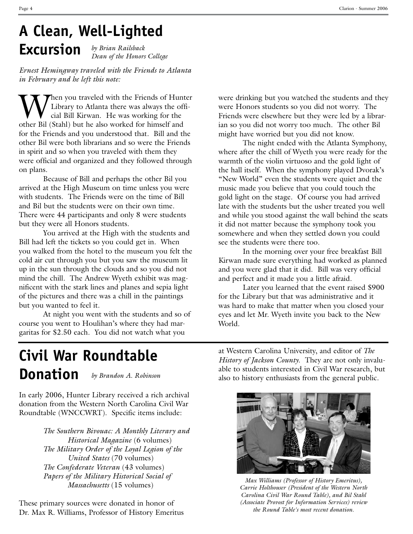### **A Clean, Well-Lighted Excursion** *by Brian Railsback*

*Dean of the Honors College*

*Ernest Hemingway traveled with the Friends to Atlanta in February and he left this note:*

When you traveled with the Friends of Hunter<br>Library to Atlanta there was always the official Bill Kirwan. He was working for the<br>other Bil (Stabl) but he also worked for himself and Library to Atlanta there was always the official Bill Kirwan. He was working for the other Bil (Stahl) but he also worked for himself and for the Friends and you understood that. Bill and the other Bil were both librarians and so were the Friends in spirit and so when you traveled with them they were official and organized and they followed through on plans.

Because of Bill and perhaps the other Bil you arrived at the High Museum on time unless you were with students. The Friends were on the time of Bill and Bil but the students were on their own time. There were 44 participants and only 8 were students but they were all Honors students.

You arrived at the High with the students and Bill had left the tickets so you could get in. When you walked from the hotel to the museum you felt the cold air cut through you but you saw the museum lit up in the sun through the clouds and so you did not mind the chill. The Andrew Wyeth exhibit was magnificent with the stark lines and planes and sepia light of the pictures and there was a chill in the paintings but you wanted to feel it.

At night you went with the students and so of course you went to Houlihan's where they had margaritas for \$2.50 each. You did not watch what you

were drinking but you watched the students and they were Honors students so you did not worry. The Friends were elsewhere but they were led by a librarian so you did not worry too much. The other Bil might have worried but you did not know.

The night ended with the Atlanta Symphony, where after the chill of Wyeth you were ready for the warmth of the violin virtuoso and the gold light of the hall itself. When the symphony played Dvorak's "New World" even the students were quiet and the music made you believe that you could touch the gold light on the stage. Of course you had arrived late with the students but the usher treated you well and while you stood against the wall behind the seats it did not matter because the symphony took you somewhere and when they settled down you could see the students were there too.

In the morning over your free breakfast Bill Kirwan made sure everything had worked as planned and you were glad that it did. Bill was very official and perfect and it made you a little afraid.

Later you learned that the event raised \$900 for the Library but that was administrative and it was hard to make that matter when you closed your eyes and let Mr. Wyeth invite you back to the New World.

### **Civil War Roundtable Donation** *by Brandon A. Robinson*

In early 2006, Hunter Library received a rich archival donation from the Western North Carolina Civil War Roundtable (WNCCWRT). Specific items include:

> *The Southern Bivouac: A Monthly Literary and Historical Magazine* (6 volumes) *The Military Order of the Loyal Legion of the United States* (70 volumes) *The Confederate Veteran* (43 volumes) *Papers of the Military Historical Social of Massachusetts* (15 volumes)

These primary sources were donated in honor of Dr. Max R. Williams, Professor of History Emeritus at Western Carolina University, and editor of *The History of Jackson County*. They are not only invaluable to students interested in Civil War research, but also to history enthusiasts from the general public.



*Max Williams (Professor of History Emeritus), Carrie Holthouser (President of the Western North Carolina Civil War Round Table), and Bil Stahl (Associate Provost for Information Services) review the Round Table's most recent donation.*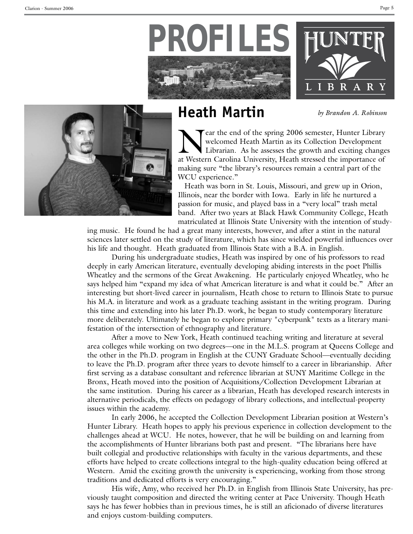





## **Heath Martin**

*by Brandon A. Robinson*

Tear the end of the spring 2006 semester, Hunter Library welcomed Heath Martin as its Collection Development Librarian. As he assesses the growth and exciting changes at Western Carolina University, Heath stressed the importance of making sure "the library's resources remain a central part of the WCU experience."

Heath was born in St. Louis, Missouri, and grew up in Orion, Illinois, near the border with Iowa. Early in life he nurtured a passion for music, and played bass in a "very local" trash metal band. After two years at Black Hawk Community College, Heath matriculated at Illinois State University with the intention of study-

ing music. He found he had a great many interests, however, and after a stint in the natural sciences later settled on the study of literature, which has since wielded powerful influences over his life and thought. Heath graduated from Illinois State with a B.A. in English.

During his undergraduate studies, Heath was inspired by one of his professors to read deeply in early American literature, eventually developing abiding interests in the poet Phillis Wheatley and the sermons of the Great Awakening. He particularly enjoyed Wheatley, who he says helped him "expand my idea of what American literature is and what it could be." After an interesting but short-lived career in journalism, Heath chose to return to Illinois State to pursue his M.A. in literature and work as a graduate teaching assistant in the writing program. During this time and extending into his later Ph.D. work, he began to study contemporary literature more deliberately. Ultimately he began to explore primary "cyberpunk" texts as a literary manifestation of the intersection of ethnography and literature.

After a move to New York, Heath continued teaching writing and literature at several area colleges while working on two degrees—one in the M.L.S. program at Queens College and the other in the Ph.D. program in English at the CUNY Graduate School—eventually deciding to leave the Ph.D. program after three years to devote himself to a career in librarianship. After first serving as a database consultant and reference librarian at SUNY Maritime College in the Bronx, Heath moved into the position of Acquisitions/Collection Development Librarian at the same institution. During his career as a librarian, Heath has developed research interests in alternative periodicals, the effects on pedagogy of library collections, and intellectual-property issues within the academy.

In early 2006, he accepted the Collection Development Librarian position at Western's Hunter Library. Heath hopes to apply his previous experience in collection development to the challenges ahead at WCU. He notes, however, that he will be building on and learning from the accomplishments of Hunter librarians both past and present. "The librarians here have built collegial and productive relationships with faculty in the various departments, and these efforts have helped to create collections integral to the high-quality education being offered at Western. Amid the exciting growth the university is experiencing, working from those strong traditions and dedicated efforts is very encouraging."

His wife, Amy, who received her Ph.D. in English from Illinois State University, has previously taught composition and directed the writing center at Pace University. Though Heath says he has fewer hobbies than in previous times, he is still an aficionado of diverse literatures and enjoys custom-building computers.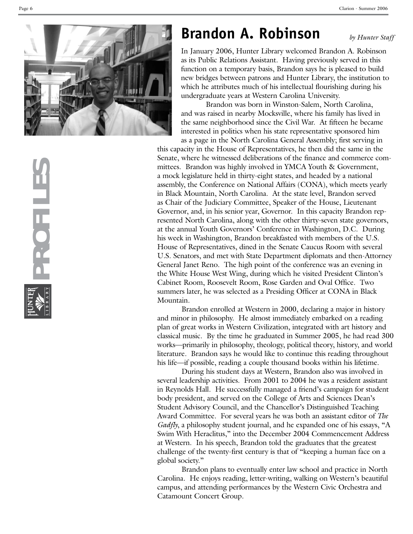

## **Brandon A. Robinson**

*by Hunter Staff*

In January 2006, Hunter Library welcomed Brandon A . Robinson as its Public Relations Assistant . Having previously served in this function on a temporary basis, Brandon says he is pleased to build new bridges between patrons and Hunter Library, the institution to which he attributes much of his intellectual flourishing during his undergraduate years at Western Carolina University.

Brandon was born in Winston-Salem, North Carolina, and was raised in nearby Mocksville, where his family has lived in the same neighborhood since the Civil War . At fifteen he became interested in politics when his state representative sponsored him as a page in the North Carolina General Assembly; first serving in

this capacity in the House of Representatives, he then did the same in the Senate, where he witnessed deliberations of the finance and commerce com mittees . Brandon was highly involved in YMCA Youth & Government, a mock legislature held in thirty-eight states, and headed by a national assembly, the Conference on National Affairs (CONA), which meets yearly in Black Mountain, North Carolina . At the state level, Brandon served as Chair of the Judiciary Committee, Speaker of the House, Lieutenant Governor, and, in his senior year, Governor. In this capacity Brandon represented North Carolina, along with the other thirty-seven state governors, at the annual Youth Governors' Conference in Washington, D . C . During his week in Washington, Brandon breakfasted with members of the U . S . House of Representatives, dined in the Senate Caucus Room with several U.S. Senators, and met with State Department diplomats and then-Attorney General Janet Reno . The high point of the conference was an evening in the White House West Wing, during which he visited President Clinton's Cabinet Room, Roosevelt Room, Rose Garden and Oval Office . Two summers later, he was selected as a Presiding Officer at CONA in Black Mountain .

Brandon enrolled at Western in 2000, declaring a major in history and minor in philosophy. He almost immediately embarked on a reading plan of great works in Western Civilization, integrated with art history and classical music . By the time he graduated in Summer 2005, he had read 300 works—primarily in philosophy, theology, political theory, history, and world literature . Brandon says he would like to continue this reading throughout his life—if possible, reading a couple thousand books within his lifetime .

During his student days at Western, Brandon also was involved in several leadership activities . From 2001 to 2004 he was a resident assistant in Reynolds Hall . He successfully managed a friend's campaign for student body president, and served on the College of Arts and Sciences Dean's Student Advisory Council, and the Chancellor's Distinguished Teaching Award Committee . For several years he was both an assistant editor of *The Gadfly*, a philosophy student journal, and he expanded one of his essays, "A Swim With Heraclitus," into the December 2004 Commencement Address at Western . In his speech, Brandon told the graduates that the greatest challenge of the twenty-first century is that of "keeping a human face on a global society. "

Brandon plans to eventually enter law school and practice in North Carolina . He enjoys reading, letter-writing, walking on Western's beautiful campus, and attending performances by the Western Civic Orchestra and Catamount Concert Group .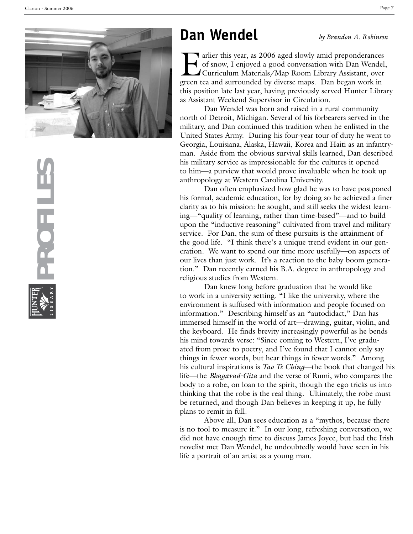

### **Dan Wendel**

*by Brandon A. Robinson*

Farlier this year, as 2006 aged slowly amid preponderances<br>of snow, I enjoyed a good conversation with Dan Wendel,<br>Curriculum Materials/Map Room Library Assistant, over<br>green tea and surrounded by diverse maps. Dan began w of snow, I enjoyed a good conversation with Dan Wendel, Curriculum Materials/Map Room Library Assistant, over green tea and surrounded by diverse maps . Dan began work in this position late last year, having previously served Hunter Library as Assistant Weekend Supervisor in Circulation .

Dan Wendel was born and raised in a rural community north of Detroit, Michigan . Several of his forbearers served in the military, and Dan continued this tradition when he enlisted in the United States Army. During his four-year tour of duty he went to Georgia, Louisiana, Alaska, Hawaii, Korea and Haiti as an infantry man . Aside from the obvious survival skills learned, Dan described his military service as impressionable for the cultures it opened to him—a purview that would prove invaluable when he took up anthropology at Western Carolina University.

Dan often emphasized how glad he was to have postponed his formal, academic education, for by doing so he achieved a finer clarity as to his mission: he sought, and still seeks the widest learn ing—"quality of learning, rather than time-based"—and to build upon the "inductive reasoning" cultivated from travel and military service . For Dan, the sum of these pursuits is the attainment of the good life . "I think there's a unique trend evident in our gen eration . We want to spend our time more usefully—on aspects of our lives than just work . It's a reaction to the baby boom genera tion ." Dan recently earned his B . A . degree in anthropology and religious studies from Western .

Dan knew long before graduation that he would like to work in a university setting . "I like the university, where the environment is suffused with information and people focused on information ." Describing himself as an "autodidact," Dan has immersed himself in the world of art—drawing, guitar, violin, and the keyboard . He finds brevity increasingly powerful as he bends his mind towards verse: "Since coming to Western, I've gradu ated from prose to poetry, and I've found that I cannot only say things in fewer words, but hear things in fewer words ." Among his cultural inspirations is *Tao Te Ching*—the book that changed his life—the *Bhagavad-Gita* and the verse of Rumi, who compares the body to a robe, on loan to the spirit, though the ego tricks us into thinking that the robe is the real thing . Ultimately, the robe must be returned, and though Dan believes in keeping it up, he fully plans to remit in full .

Above all, Dan sees education as a "mythos, because there is no tool to measure it." In our long, refreshing conversation, we did not have enough time to discuss James Joyce, but had the Irish novelist met Dan Wendel, he undoubtedly would have seen in his life a portrait of an artist as a young man .